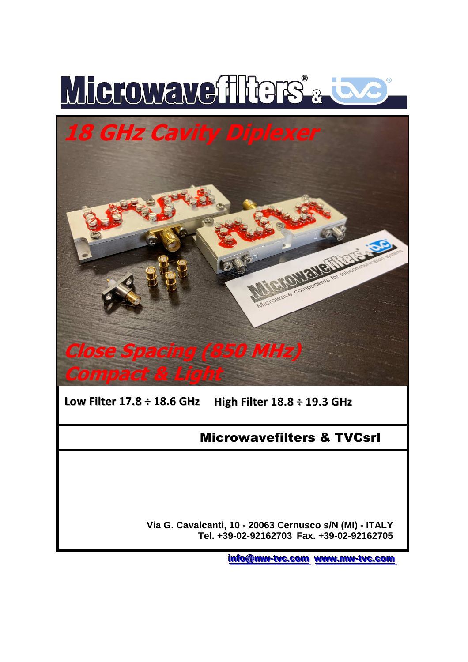



**Low Filter 17.8 ÷ 18.6 GHz High Filter 18.8 ÷ 19.3 GHz** 

## Microwavefilters & TVCsrl

 **Via G. Cavalcanti, 10 - 20063 Cernusco s/N (MI) - ITALY Tel. +39-02-92162703 Fax. +39-02-92162705**

**i** <u>info@mw-tvc.com</u> www.mw-tvc.com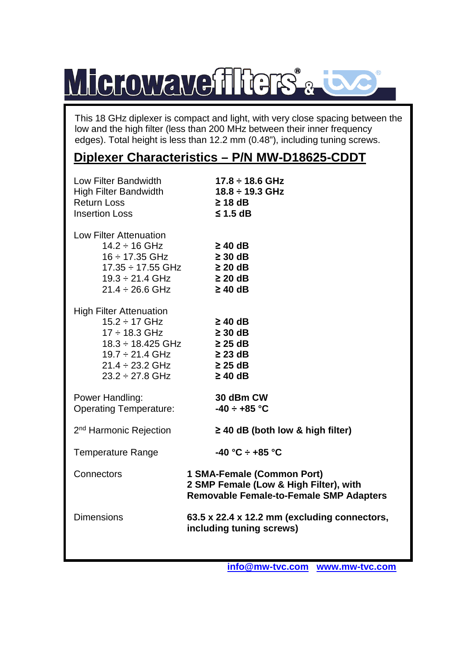## Microwavefffers<sup>&</sup>

This 18 GHz diplexer is compact and light, with very close spacing between the low and the high filter (less than 200 MHz between their inner frequency edges). Total height is less than 12.2 mm (0.48"), including tuning screws.

## **Diplexer Characteristics – P/N MW-D18625-CDDT**

| Low Filter Bandwidth<br><b>High Filter Bandwidth</b><br><b>Return Loss</b><br><b>Insertion Loss</b>                                                                                                           | $17.8 \div 18.6$ GHz<br>$18.8 \div 19.3$ GHz<br>$\geq$ 18 dB<br>$\leq$ 1.5 dB                                          |
|---------------------------------------------------------------------------------------------------------------------------------------------------------------------------------------------------------------|------------------------------------------------------------------------------------------------------------------------|
| Low Filter Attenuation<br>$14.2 \div 16$ GHz<br>16 ÷ 17.35 GHz<br>17.35 ÷ 17.55 GHz<br>19.3 ÷ 21.4 GHz<br>$21.4 \div 26.6 \text{ GHz}$                                                                        | $\geq 40$ dB<br>$\geq 30$ dB<br>$\geq$ 20 dB<br>$\geq 20$ dB<br>$\geq 40$ dB                                           |
| <b>High Filter Attenuation</b><br>$15.2 \div 17 \text{ GHz}$<br>17 ÷ 18.3 GHz<br>$18.3 \div 18.425 \text{ GHz}$ 25 dB<br>$19.7 \div 21.4 \text{ GHz}$<br>$21.4 \div 23.2 \text{ GHz}$<br>$23.2 \div 27.8$ GHz | $\geq 40$ dB<br>$\geq 30$ dB<br>$\geq$ 23 dB<br>$\geq 25$ dB<br>$\geq$ 40 dB                                           |
| Power Handling:<br><b>Operating Temperature:</b>                                                                                                                                                              | 30 dBm CW<br>$-40 \div +85$ °C                                                                                         |
| 2 <sup>nd</sup> Harmonic Rejection                                                                                                                                                                            | $\geq$ 40 dB (both low & high filter)                                                                                  |
| <b>Temperature Range</b>                                                                                                                                                                                      | $-40 °C \div +85 °C$                                                                                                   |
| Connectors                                                                                                                                                                                                    | 1 SMA-Female (Common Port)<br>2 SMP Female (Low & High Filter), with<br><b>Removable Female-to-Female SMP Adapters</b> |
| <b>Dimensions</b>                                                                                                                                                                                             | 63.5 x 22.4 x 12.2 mm (excluding connectors,<br>including tuning screws)                                               |
|                                                                                                                                                                                                               |                                                                                                                        |